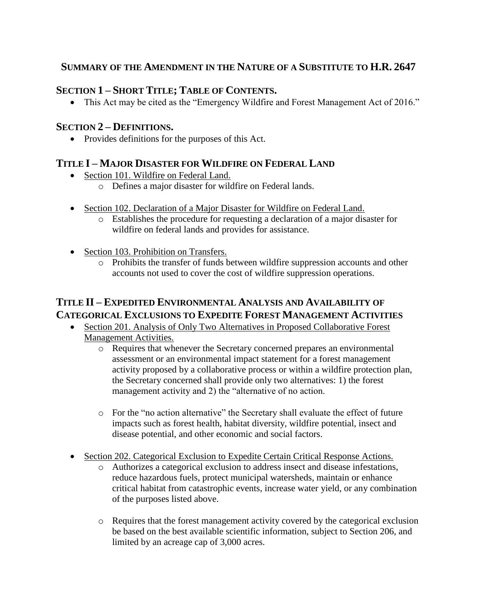#### **SUMMARY OF THE AMENDMENT IN THE NATURE OF A SUBSTITUTE TO H.R. 2647**

## **SECTION 1 – SHORT TITLE; TABLE OF CONTENTS.**

• This Act may be cited as the "Emergency Wildfire and Forest Management Act of 2016."

#### **SECTION 2 – DEFINITIONS.**

• Provides definitions for the purposes of this Act.

## **TITLE I – MAJOR DISASTER FOR WILDFIRE ON FEDERAL LAND**

- Section 101. Wildfire on Federal Land.
	- o Defines a major disaster for wildfire on Federal lands.
- Section 102. Declaration of a Major Disaster for Wildfire on Federal Land.
	- o Establishes the procedure for requesting a declaration of a major disaster for wildfire on federal lands and provides for assistance.
- Section 103. Prohibition on Transfers.
	- o Prohibits the transfer of funds between wildfire suppression accounts and other accounts not used to cover the cost of wildfire suppression operations.

## **TITLE II – EXPEDITED ENVIRONMENTAL ANALYSIS AND AVAILABILITY OF CATEGORICAL EXCLUSIONS TO EXPEDITE FOREST MANAGEMENT ACTIVITIES**

- Section 201. Analysis of Only Two Alternatives in Proposed Collaborative Forest Management Activities.
	- o Requires that whenever the Secretary concerned prepares an environmental assessment or an environmental impact statement for a forest management activity proposed by a collaborative process or within a wildfire protection plan, the Secretary concerned shall provide only two alternatives: 1) the forest management activity and 2) the "alternative of no action.
	- o For the "no action alternative" the Secretary shall evaluate the effect of future impacts such as forest health, habitat diversity, wildfire potential, insect and disease potential, and other economic and social factors.
- Section 202. Categorical Exclusion to Expedite Certain Critical Response Actions.
	- o Authorizes a categorical exclusion to address insect and disease infestations, reduce hazardous fuels, protect municipal watersheds, maintain or enhance critical habitat from catastrophic events, increase water yield, or any combination of the purposes listed above.
	- o Requires that the forest management activity covered by the categorical exclusion be based on the best available scientific information, subject to Section 206, and limited by an acreage cap of 3,000 acres.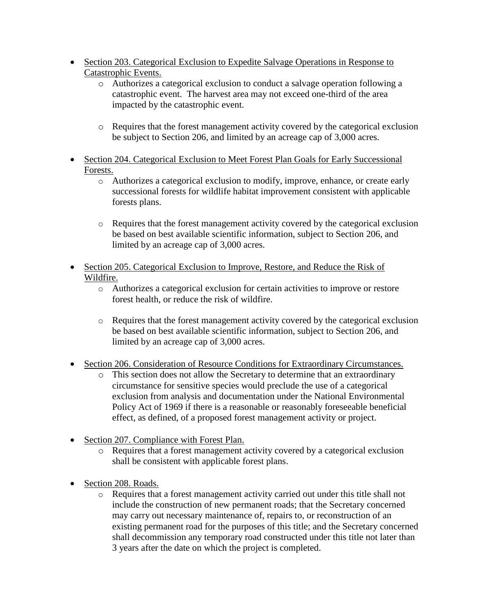- Section 203. Categorical Exclusion to Expedite Salvage Operations in Response to Catastrophic Events.
	- o Authorizes a categorical exclusion to conduct a salvage operation following a catastrophic event. The harvest area may not exceed one-third of the area impacted by the catastrophic event.
	- o Requires that the forest management activity covered by the categorical exclusion be subject to Section 206, and limited by an acreage cap of 3,000 acres.
- Section 204. Categorical Exclusion to Meet Forest Plan Goals for Early Successional Forests.
	- o Authorizes a categorical exclusion to modify, improve, enhance, or create early successional forests for wildlife habitat improvement consistent with applicable forests plans.
	- o Requires that the forest management activity covered by the categorical exclusion be based on best available scientific information, subject to Section 206, and limited by an acreage cap of 3,000 acres.
- Section 205. Categorical Exclusion to Improve, Restore, and Reduce the Risk of Wildfire.
	- o Authorizes a categorical exclusion for certain activities to improve or restore forest health, or reduce the risk of wildfire.
	- o Requires that the forest management activity covered by the categorical exclusion be based on best available scientific information, subject to Section 206, and limited by an acreage cap of 3,000 acres.
- Section 206. Consideration of Resource Conditions for Extraordinary Circumstances.
	- o This section does not allow the Secretary to determine that an extraordinary circumstance for sensitive species would preclude the use of a categorical exclusion from analysis and documentation under the National Environmental Policy Act of 1969 if there is a reasonable or reasonably foreseeable beneficial effect, as defined, of a proposed forest management activity or project.
- Section 207. Compliance with Forest Plan.
	- o Requires that a forest management activity covered by a categorical exclusion shall be consistent with applicable forest plans.
- Section 208. Roads.
	- o Requires that a forest management activity carried out under this title shall not include the construction of new permanent roads; that the Secretary concerned may carry out necessary maintenance of, repairs to, or reconstruction of an existing permanent road for the purposes of this title; and the Secretary concerned shall decommission any temporary road constructed under this title not later than 3 years after the date on which the project is completed.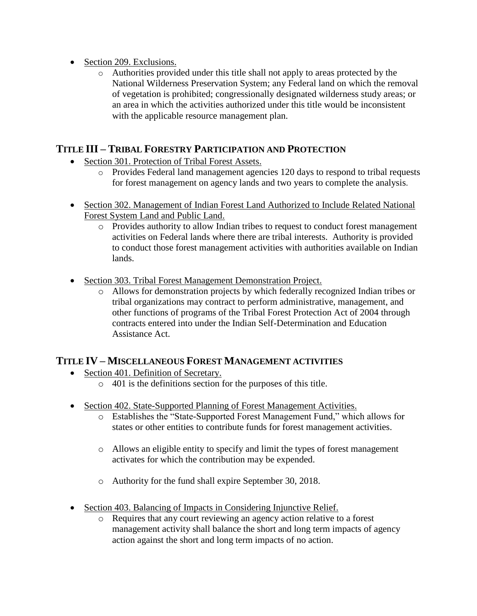- Section 209. Exclusions.
	- o Authorities provided under this title shall not apply to areas protected by the National Wilderness Preservation System; any Federal land on which the removal of vegetation is prohibited; congressionally designated wilderness study areas; or an area in which the activities authorized under this title would be inconsistent with the applicable resource management plan.

## **TITLE III – TRIBAL FORESTRY PARTICIPATION AND PROTECTION**

- Section 301. Protection of Tribal Forest Assets.
	- o Provides Federal land management agencies 120 days to respond to tribal requests for forest management on agency lands and two years to complete the analysis.
- Section 302. Management of Indian Forest Land Authorized to Include Related National Forest System Land and Public Land.
	- o Provides authority to allow Indian tribes to request to conduct forest management activities on Federal lands where there are tribal interests. Authority is provided to conduct those forest management activities with authorities available on Indian lands.
- Section 303. Tribal Forest Management Demonstration Project.
	- o Allows for demonstration projects by which federally recognized Indian tribes or tribal organizations may contract to perform administrative, management, and other functions of programs of the Tribal Forest Protection Act of 2004 through contracts entered into under the Indian Self-Determination and Education Assistance Act.

#### **TITLE IV – MISCELLANEOUS FOREST MANAGEMENT ACTIVITIES**

- Section 401. Definition of Secretary.
	- o 401 is the definitions section for the purposes of this title.
- Section 402. State-Supported Planning of Forest Management Activities.
	- o Establishes the "State-Supported Forest Management Fund," which allows for states or other entities to contribute funds for forest management activities.
	- o Allows an eligible entity to specify and limit the types of forest management activates for which the contribution may be expended.
	- o Authority for the fund shall expire September 30, 2018.
- Section 403. Balancing of Impacts in Considering Injunctive Relief.
	- o Requires that any court reviewing an agency action relative to a forest management activity shall balance the short and long term impacts of agency action against the short and long term impacts of no action.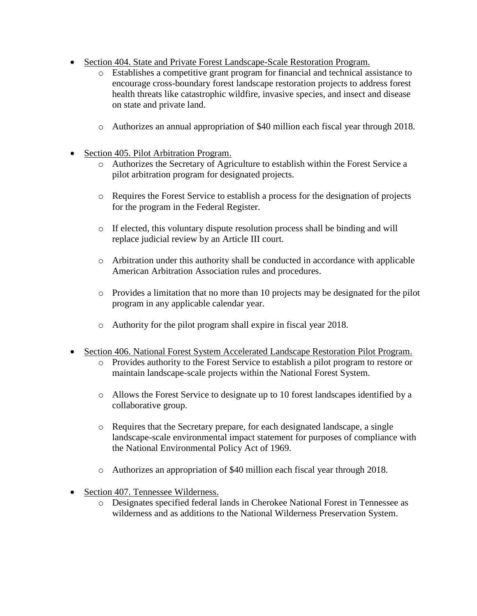- Section 404. State and Private Forest Landscape-Scale Restoration Program.
	- o Establishes a competitive grant program for financial and technical assistance to encourage cross-boundary forest landscape restoration projects to address forest health threats like catastrophic wildfire, invasive species, and insect and disease on state and private land.
	- o Authorizes an annual appropriation of \$40 million each fiscal year through 2018.
- Section 405. Pilot Arbitration Program.
	- o Authorizes the Secretary of Agriculture to establish within the Forest Service a pilot arbitration program for designated projects.
	- o Requires the Forest Service to establish a process for the designation of projects for the program in the Federal Register.
	- $\circ$  If elected, this voluntary dispute resolution process shall be binding and will replace judicial review by an Article III court.
	- o Arbitration under this authority shall be conducted in accordance with applicable American Arbitration Association rules and procedures.
	- $\circ$  Provides a limitation that no more than 10 projects may be designated for the pilot program in any applicable calendar year.
	- o Authority for the pilot program shall expire in fiscal year 2018.
- Section 406. National Forest System Accelerated Landscape Restoration Pilot Program.
	- o Provides authority to the Forest Service to establish a pilot program to restore or maintain landscape-scale projects within the National Forest System.
	- o Allows the Forest Service to designate up to 10 forest landscapes identified by a collaborative group.
	- o Requires that the Secretary prepare, for each designated landscape, a single landscape-scale environmental impact statement for purposes of compliance with the National Environmental Policy Act of 1969.
	- o Authorizes an appropriation of \$40 million each fiscal year through 2018.
- Section 407. Tennessee Wilderness.
	- o Designates specified federal lands in Cherokee National Forest in Tennessee as wilderness and as additions to the National Wilderness Preservation System.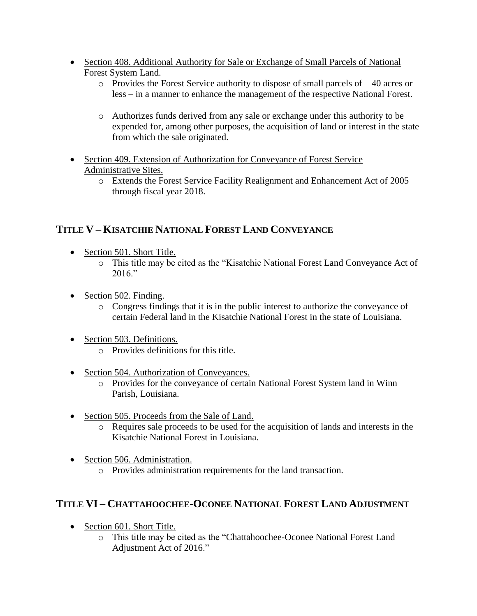- Section 408. Additional Authority for Sale or Exchange of Small Parcels of National Forest System Land.
	- o Provides the Forest Service authority to dispose of small parcels of 40 acres or less – in a manner to enhance the management of the respective National Forest.
	- o Authorizes funds derived from any sale or exchange under this authority to be expended for, among other purposes, the acquisition of land or interest in the state from which the sale originated.
- Section 409. Extension of Authorization for Conveyance of Forest Service Administrative Sites.
	- o Extends the Forest Service Facility Realignment and Enhancement Act of 2005 through fiscal year 2018.

## **TITLE V – KISATCHIE NATIONAL FOREST LAND CONVEYANCE**

- Section 501. Short Title.
	- o This title may be cited as the "Kisatchie National Forest Land Conveyance Act of  $2016$ "
- Section 502. Finding.
	- o Congress findings that it is in the public interest to authorize the conveyance of certain Federal land in the Kisatchie National Forest in the state of Louisiana.
- Section 503. Definitions.
	- o Provides definitions for this title.
- Section 504. Authorization of Conveyances.
	- o Provides for the conveyance of certain National Forest System land in Winn Parish, Louisiana.
- Section 505. Proceeds from the Sale of Land.
	- o Requires sale proceeds to be used for the acquisition of lands and interests in the Kisatchie National Forest in Louisiana.
- Section 506. Administration.
	- o Provides administration requirements for the land transaction.

# **TITLE VI – CHATTAHOOCHEE-OCONEE NATIONAL FOREST LAND ADJUSTMENT**

- Section 601. Short Title.
	- o This title may be cited as the "Chattahoochee-Oconee National Forest Land Adjustment Act of 2016."